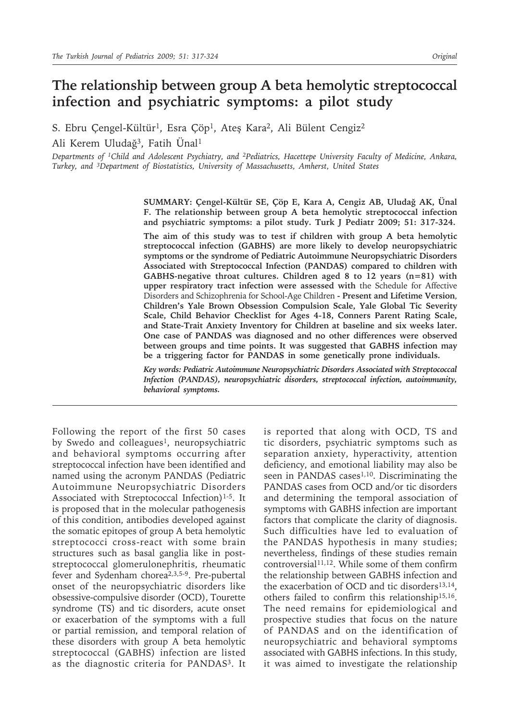# **The relationship between group A beta hemolytic streptococcal infection and psychiatric symptoms: a pilot study**

S. Ebru Çengel-Kültür<sup>1</sup>, Esra Çöp<sup>1</sup>, Ateş Kara<sup>2</sup>, Ali Bülent Cengiz<sup>2</sup> Ali Kerem Uludağ3, Fatih Ünal<sup>1</sup>

*Departments of 1Child and Adolescent Psychiatry, and 2Pediatrics, Hacettepe University Faculty of Medicine, Ankara, Turkey, and 3Department of Biostatistics, University of Massachusetts, Amherst, United States*

> **SUMMARY: Çengel-Kültür SE, Çöp E, Kara A, Cengiz AB, Uludağ AK, Ünal F. The relationship between group A beta hemolytic streptococcal infection and psychiatric symptoms: a pilot study. Turk J Pediatr 2009; 51: 317-324.**

> **The aim of this study was to test if children with group A beta hemolytic streptococcal infection (GABHS) are more likely to develop neuropsychiatric symptoms or the syndrome of Pediatric Autoimmune Neuropsychiatric Disorders Associated with Streptococcal Infection (PANDAS) compared to children with GABHS-negative throat cultures. Children aged 8 to 12 years (n=81) with upper respiratory tract infection were assessed with** the Schedule for Affective Disorders and Schizophrenia for School-Age Children **- Present and Lifetime Version**, **Children's Yale Brown Obsession Compulsion Scale, Yale Global Tic Severity Scale, Child Behavior Checklist for Ages 4-18, Conners Parent Rating Scale, and State-Trait Anxiety Inventory for Children at baseline and six weeks later. One case of PANDAS was diagnosed and no other differences were observed between groups and time points. It was suggested that GABHS infection may be a triggering factor for PANDAS in some genetically prone individuals.**

> *Key words: Pediatric Autoimmune Neuropsychiatric Disorders Associated with Streptococcal Infection (PANDAS), neuropsychiatric disorders, streptococcal infection, autoimmunity, behavioral symptoms.*

Following the report of the first 50 cases by Swedo and colleagues<sup>1</sup>, neuropsychiatric and behavioral symptoms occurring after streptococcal infection have been identified and named using the acronym PANDAS (Pediatric Autoimmune Neuropsychiatric Disorders Associated with Streptococcal Infection)<sup>1-5</sup>. It is proposed that in the molecular pathogenesis of this condition, antibodies developed against the somatic epitopes of group A beta hemolytic streptococci cross-react with some brain structures such as basal ganglia like in poststreptococcal glomerulonephritis, rheumatic fever and Sydenham chorea2,3,5-9. Pre-pubertal onset of the neuropsychiatric disorders like obsessive-compulsive disorder (OCD), Tourette syndrome (TS) and tic disorders, acute onset or exacerbation of the symptoms with a full or partial remission, and temporal relation of these disorders with group A beta hemolytic streptococcal (GABHS) infection are listed as the diagnostic criteria for PANDAS<sup>3</sup>. It

is reported that along with OCD, TS and tic disorders, psychiatric symptoms such as separation anxiety, hyperactivity, attention deficiency, and emotional liability may also be seen in PANDAS cases<sup>1,10</sup>. Discriminating the PANDAS cases from OCD and/or tic disorders and determining the temporal association of symptoms with GABHS infection are important factors that complicate the clarity of diagnosis. Such difficulties have led to evaluation of the PANDAS hypothesis in many studies; nevertheless, findings of these studies remain controversial<sup>11,12</sup>. While some of them confirm the relationship between GABHS infection and the exacerbation of OCD and tic disorders<sup>13,14</sup>, others failed to confirm this relationship15,16. The need remains for epidemiological and prospective studies that focus on the nature of PANDAS and on the identification of neuropsychiatric and behavioral symptoms associated with GABHS infections. In this study, it was aimed to investigate the relationship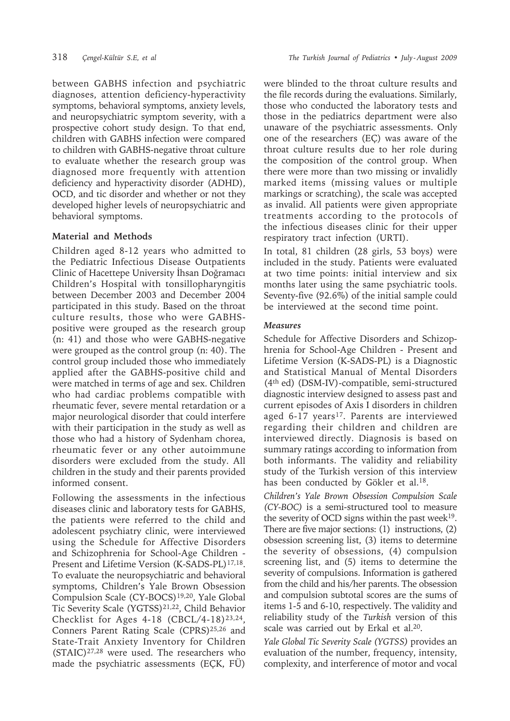between GABHS infection and psychiatric diagnoses, attention deficiency-hyperactivity symptoms, behavioral symptoms, anxiety levels, and neuropsychiatric symptom severity, with a prospective cohort study design. To that end, children with GABHS infection were compared to children with GABHS-negative throat culture to evaluate whether the research group was diagnosed more frequently with attention deficiency and hyperactivity disorder (ADHD), OCD, and tic disorder and whether or not they developed higher levels of neuropsychiatric and behavioral symptoms.

## **Material and Methods**

Children aged 8-12 years who admitted to the Pediatric Infectious Disease Outpatients Clinic of Hacettepe University İhsan Doğramacı Children's Hospital with tonsillopharyngitis between December 2003 and December 2004 participated in this study. Based on the throat culture results, those who were GABHSpositive were grouped as the research group (n: 41) and those who were GABHS-negative were grouped as the control group (n: 40). The control group included those who immediately applied after the GABHS-positive child and were matched in terms of age and sex. Children who had cardiac problems compatible with rheumatic fever, severe mental retardation or a major neurological disorder that could interfere with their participation in the study as well as those who had a history of Sydenham chorea, rheumatic fever or any other autoimmune disorders were excluded from the study. All children in the study and their parents provided informed consent.

Following the assessments in the infectious diseases clinic and laboratory tests for GABHS, the patients were referred to the child and adolescent psychiatry clinic, were interviewed using the Schedule for Affective Disorders and Schizophrenia for School-Age Children - Present and Lifetime Version (K-SADS-PL)<sup>17,18</sup>. To evaluate the neuropsychiatric and behavioral symptoms, Children's Yale Brown Obsession Compulsion Scale (CY-BOCS)19,20, Yale Global Tic Severity Scale (YGTSS)21,22, Child Behavior Checklist for Ages  $4-18$  (CBCL/4-18)<sup>23,24</sup>, Conners Parent Rating Scale (CPRS)<sup>25,26</sup> and State-Trait Anxiety Inventory for Children  $(STAIC)^{27,28}$  were used. The researchers who made the psychiatric assessments (EÇK, FÜ) were blinded to the throat culture results and the file records during the evaluations. Similarly, those who conducted the laboratory tests and those in the pediatrics department were also unaware of the psychiatric assessments. Only one of the researchers (EÇ) was aware of the throat culture results due to her role during the composition of the control group. When there were more than two missing or invalidly marked items (missing values or multiple markings or scratching), the scale was accepted as invalid. All patients were given appropriate treatments according to the protocols of the infectious diseases clinic for their upper respiratory tract infection (URTI).

In total, 81 children (28 girls, 53 boys) were included in the study. Patients were evaluated at two time points: initial interview and six months later using the same psychiatric tools. Seventy-five (92.6%) of the initial sample could be interviewed at the second time point.

#### *Measures*

Schedule for Affective Disorders and Schizophrenia for School-Age Children - Present and Lifetime Version (K-SADS-PL) is a Diagnostic and Statistical Manual of Mental Disorders (4th ed) (DSM-IV)-compatible, semi-structured diagnostic interview designed to assess past and current episodes of Axis I disorders in children aged 6-17 years<sup>17</sup>. Parents are interviewed regarding their children and children are interviewed directly. Diagnosis is based on summary ratings according to information from both informants. The validity and reliability study of the Turkish version of this interview has been conducted by Gökler et al.18.

*Children's Yale Brown Obsession Compulsion Scale (CY-BOC)* is a semi-structured tool to measure the severity of OCD signs within the past week $19$ . There are five major sections: (1) instructions, (2) obsession screening list, (3) items to determine the severity of obsessions, (4) compulsion screening list, and (5) items to determine the severity of compulsions. Information is gathered from the child and his/her parents. The obsession and compulsion subtotal scores are the sums of items 1-5 and 6-10, respectively. The validity and reliability study of the *Turkish* version of this scale was carried out by Erkal et al.<sup>20</sup>.

*Yale Global Tic Severity Scale (YGTSS)* provides an evaluation of the number, frequency, intensity, complexity, and interference of motor and vocal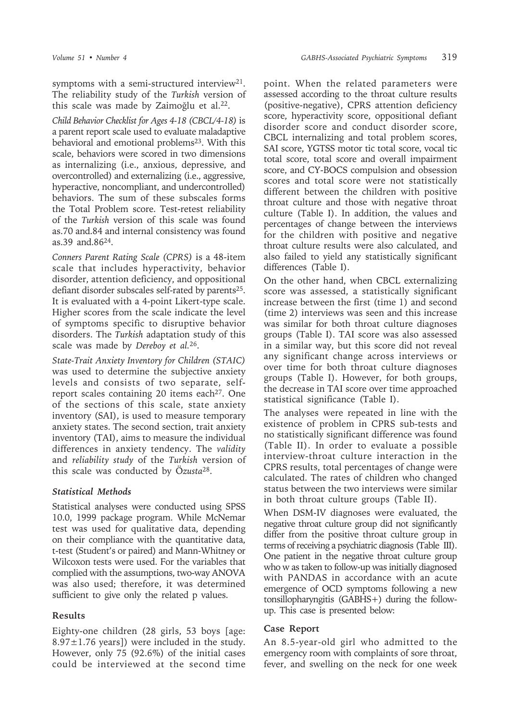symptoms with a semi-structured interview<sup>21</sup>. The reliability study of the *Turkish* version of this scale was made by Zaimoğlu et al.<sup>22</sup>.

*Child Behavior Checklist for Ages 4-18 (CBCL/4-18)* is a parent report scale used to evaluate maladaptive behavioral and emotional problems<sup>23</sup>. With this scale, behaviors were scored in two dimensions as internalizing (i.e., anxious, depressive, and overcontrolled) and externalizing (i.e., aggressive, hyperactive, noncompliant, and undercontrolled) behaviors. The sum of these subscales forms the Total Problem score. Test-retest reliability of the *Turkish* version of this scale was found as.70 and.84 and internal consistency was found as.39 and.86<sup>24</sup>.

*Conners Parent Rating Scale (CPRS)* is a 48-item scale that includes hyperactivity, behavior disorder, attention deficiency, and oppositional defiant disorder subscales self-rated by parents<sup>25</sup>. It is evaluated with a 4-point Likert-type scale. Higher scores from the scale indicate the level of symptoms specific to disruptive behavior disorders. The *Turkish* adaptation study of this scale was made by *Dereboy et al.*<sup>26</sup>.

*State-Trait Anxiety Inventory for Children (STAIC)* was used to determine the subjective anxiety levels and consists of two separate, selfreport scales containing 20 items each<sup>27</sup>. One of the sections of this scale, state anxiety inventory (SAI), is used to measure temporary anxiety states. The second section, trait anxiety inventory (TAI), aims to measure the individual differences in anxiety tendency. The *validity* and *reliability study* of the *Turkish* version of this scale was conducted by Ö*zusta*<sup>28</sup>.

## *Statistical Methods*

Statistical analyses were conducted using SPSS 10.0, 1999 package program. While McNemar test was used for qualitative data, depending on their compliance with the quantitative data, t-test (Student's or paired) and Mann-Whitney or Wilcoxon tests were used. For the variables that complied with the assumptions, two-way ANOVA was also used; therefore, it was determined sufficient to give only the related p values.

## **Results**

Eighty-one children (28 girls, 53 boys [age: 8.97 $\pm$ 1.76 years]) were included in the study. However, only 75 (92.6%) of the initial cases could be interviewed at the second time point. When the related parameters were assessed according to the throat culture results (positive-negative), CPRS attention deficiency score, hyperactivity score, oppositional defiant disorder score and conduct disorder score, CBCL internalizing and total problem scores, SAI score, YGTSS motor tic total score, vocal tic total score, total score and overall impairment score, and CY-BOCS compulsion and obsession scores and total score were not statistically different between the children with positive throat culture and those with negative throat culture (Table I). In addition, the values and percentages of change between the interviews for the children with positive and negative throat culture results were also calculated, and also failed to yield any statistically significant differences (Table I).

On the other hand, when CBCL externalizing score was assessed, a statistically significant increase between the first (time 1) and second (time 2) interviews was seen and this increase was similar for both throat culture diagnoses groups (Table I). TAI score was also assessed in a similar way, but this score did not reveal any significant change across interviews or over time for both throat culture diagnoses groups (Table I). However, for both groups, the decrease in TAI score over time approached statistical significance (Table I).

The analyses were repeated in line with the existence of problem in CPRS sub-tests and no statistically significant difference was found (Table II). In order to evaluate a possible interview-throat culture interaction in the CPRS results, total percentages of change were calculated. The rates of children who changed status between the two interviews were similar in both throat culture groups (Table II).

When DSM-IV diagnoses were evaluated, the negative throat culture group did not significantly differ from the positive throat culture group in terms of receiving a psychiatric diagnosis (Table III). One patient in the negative throat culture group who w as taken to follow-up was initially diagnosed with PANDAS in accordance with an acute emergence of OCD symptoms following a new tonsillopharyngitis (GABHS+) during the followup. This case is presented below:

## **Case Report**

An 8.5-year-old girl who admitted to the emergency room with complaints of sore throat, fever, and swelling on the neck for one week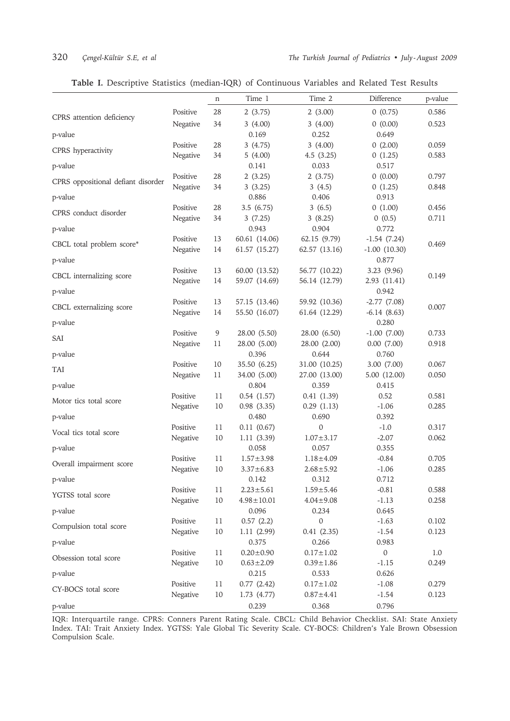|  |  |  |  |  | Table I. Descriptive Statistics (median-IQR) of Continuous Variables and Related Test Results |  |  |  |  |  |  |  |
|--|--|--|--|--|-----------------------------------------------------------------------------------------------|--|--|--|--|--|--|--|
|--|--|--|--|--|-----------------------------------------------------------------------------------------------|--|--|--|--|--|--|--|

|                                    |                      | n       | Time 1                       | Time 2                       | Difference                     | p-value        |
|------------------------------------|----------------------|---------|------------------------------|------------------------------|--------------------------------|----------------|
| CPRS attention deficiency          | Positive             | 28      | 2(3.75)                      | 2(3.00)                      | 0(0.75)                        | 0.586          |
|                                    | Negative             | 34      | 3(4.00)                      | 3(4.00)                      | 0(0.00)                        | 0.523          |
| p-value                            |                      |         | 0.169                        | 0.252                        | 0.649                          |                |
| CPRS hyperactivity                 | Positive             | 28      | 3(4.75)                      | 3(4.00)                      | 0(2.00)                        | 0.059          |
| p-value                            | Negative             | 34      | 5(4.00)<br>0.141             | 4.5(3.25)<br>0.033           | 0(1.25)<br>0.517               | 0.583          |
|                                    | Positive             | 28      | 2(3.25)                      | 2(3.75)                      | 0(0.00)                        | 0.797          |
| CPRS oppositional defiant disorder | Negative             | 34      | 3(3.25)                      | 3(4.5)                       | 0(1.25)                        | 0.848          |
| p-value                            |                      |         | 0.886                        | 0.406                        | 0.913                          |                |
| CPRS conduct disorder              | Positive             | 28      | 3.5(6.75)                    | 3(6.5)                       | 0(1.00)                        | 0.456          |
|                                    | Negative             | 34      | 3(7.25)                      | 3(8.25)                      | 0(0.5)                         | 0.711          |
| p-value                            |                      |         | 0.943                        | 0.904                        | 0.772                          |                |
| CBCL total problem score*          | Positive             | 13      | 60.61 (14.06)                | 62.15 (9.79)                 | $-1.54(7.24)$                  | 0.469          |
| p-value                            | Negative             | 14      | 61.57 (15.27)                | 62.57 (13.16)                | $-1.00$ $(10.30)$<br>0.877     |                |
|                                    | Positive             | 13      | 60.00 (13.52)                | 56.77 (10.22)                | 3.23 (9.96)                    |                |
| CBCL internalizing score           | Negative             | 14      | 59.07 (14.69)                | 56.14 (12.79)                | 2.93 (11.41)                   | 0.149          |
| p-value                            |                      |         |                              |                              | 0.942                          |                |
| CBCL externalizing score           | Positive             | 13      | 57.15 (13.46)                | 59.92 (10.36)                | $-2.77(7.08)$                  | 0.007          |
|                                    | Negative             | 14      | 55.50 (16.07)                | 61.64 (12.29)                | $-6.14(8.63)$                  |                |
| p-value                            |                      |         |                              |                              | 0.280                          |                |
| SAI                                | Positive<br>Negative | 9<br>11 | 28.00 (5.50)<br>28.00 (5.00) | 28.00 (6.50)<br>28.00 (2.00) | $-1.00$ $(7.00)$<br>0.00(7.00) | 0.733<br>0.918 |
| p-value                            |                      |         | 0.396                        | 0.644                        | 0.760                          |                |
|                                    | Positive             | 10      | 35.50 (6.25)                 | 31.00 (10.25)                | 3.00 (7.00)                    | 0.067          |
| <b>TAI</b>                         | Negative             | 11      | 34.00 (5.00)                 | 27.00 (13.00)                | 5.00 (12.00)                   | 0.050          |
| p-value                            |                      |         | 0.804                        | 0.359                        | 0.415                          |                |
| Motor tics total score             | Positive             | 11      | 0.54(1.57)                   | 0.41(1.39)                   | 0.52                           | 0.581          |
|                                    | Negative             | 10      | 0.98(3.35)                   | 0.29(1.13)                   | $-1.06$                        | 0.285          |
| p-value                            |                      |         | 0.480                        | 0.690                        | 0.392                          |                |
| Vocal tics total score             | Positive             | $11\,$  | 0.11(0.67)                   | $\mathbf{0}$                 | $-1.0$                         | 0.317          |
| p-value                            | Negative             | 10      | 1.11(3.39)<br>0.058          | $1.07 \pm 3.17$<br>0.057     | $-2.07$<br>0.355               | 0.062          |
|                                    | Positive             | 11      | $1.57 \pm 3.98$              | $1.18 \pm 4.09$              | $-0.84$                        | 0.705          |
| Overall impairment score           | Negative             | 10      | $3.37 \pm 6.83$              | $2.68 + 5.92$                | $-1.06$                        | 0.285          |
| p-value                            |                      |         | 0.142                        | 0.312                        | 0.712                          |                |
| YGTSS total score                  | Positive             | 11      | $2.23 \pm 5.61$              | $1.59 \pm 5.46$              | $-0.81$                        | 0.588          |
|                                    | Negative             | 10      | $4.98 \pm 10.01$             | $4.04 \pm 9.08$              | $-1.13$                        | 0.258          |
| p-value                            |                      |         | 0.096                        | 0.234                        | 0.645                          |                |
| Compulsion total score             | Positive<br>Negative | 11      | 0.57(2.2)                    | $\mathbf{0}$<br>0.41(2.35)   | $-1.63$<br>$-1.54$             | 0.102          |
| p-value                            |                      | 10      | 1.11(2.99)<br>0.375          | 0.266                        | 0.983                          | 0.123          |
|                                    | Positive             | 11      | $0.20 \pm 0.90$              | $0.17 \pm 1.02$              | $\boldsymbol{0}$               | 1.0            |
| Obsession total score              | Negative             | 10      | $0.63 \pm 2.09$              | $0.39 \pm 1.86$              | $-1.15$                        | 0.249          |
| p-value                            |                      |         | 0.215                        | 0.533                        | 0.626                          |                |
| CY-BOCS total score                | Positive             | 11      | 0.77(2.42)                   | $0.17 \pm 1.02$              | $-1.08$                        | 0.279          |
|                                    | Negative             | 10      | 1.73(4.77)                   | $0.87 + 4.41$                | $-1.54$                        | 0.123          |
| p-value                            |                      |         | 0.239                        | 0.368                        | 0.796                          |                |

IQR: Interquartile range. CPRS: Conners Parent Rating Scale. CBCL: Child Behavior Checklist. SAI: State Anxiety Index. TAI: Trait Anxiety Index. YGTSS: Yale Global Tic Severity Scale. CY-BOCS: Children's Yale Brown Obsession Compulsion Scale.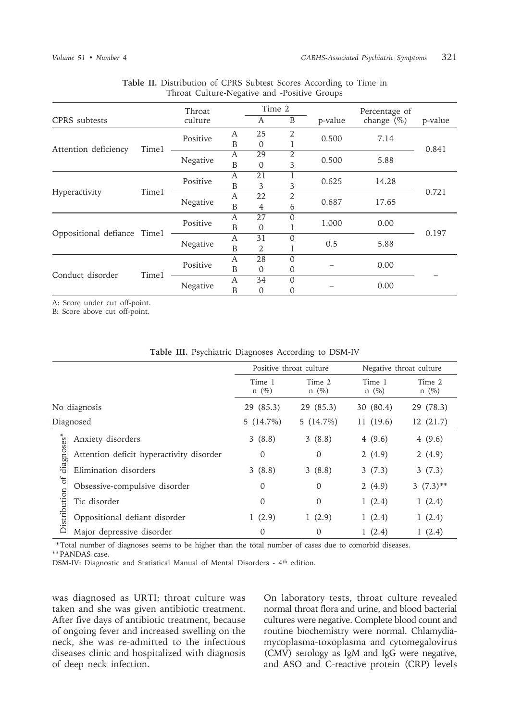|                             | Throat  |          | Time 2 |                | Percentage of  |               |         |       |
|-----------------------------|---------|----------|--------|----------------|----------------|---------------|---------|-------|
| CPRS subtests               | culture |          | A      | $\, {\bf B}$   | p-value        | change $(\%)$ | p-value |       |
|                             | Time1   | Positive | А      | 25             | $\overline{2}$ | 0.500         | 7.14    |       |
| Attention deficiency        |         |          | B      | 0              |                |               |         | 0.841 |
|                             |         |          | A      | 29             | 2              | 0.500         |         |       |
|                             |         | Negative | B      | 0              | 3              |               | 5.88    |       |
|                             | Time1   | Positive | A      | 21             |                | 0.625         | 14.28   | 0.721 |
| Hyperactivity               |         |          | B      | 3              | 3              |               |         |       |
|                             |         | Negative | A      | 22             | 2              | 0.687         | 17.65   |       |
|                             |         |          | B      | $\overline{4}$ | 6              |               |         |       |
|                             |         | Positive | A      | 27             | $\Omega$       | 1.000         | 0.00    | 0.197 |
| Oppositional defiance Time1 |         |          | B      | 0              |                |               |         |       |
|                             |         | Negative | A      | 31             | $\Omega$       | 0.5           | 5.88    |       |
|                             |         |          | B      | 2              |                |               |         |       |
|                             | Time1   | Positive | A      | 28             | $\Omega$       |               | 0.00    |       |
| Conduct disorder            |         |          | B      | $\overline{0}$ | 0              |               |         |       |
|                             |         | Negative | A      | 34             | $\Omega$       |               | 0.00    |       |
|                             |         |          | B      | 0              | 0              |               |         |       |

#### **Table II.** Distribution of CPRS Subtest Scores According to Time in Throat Culture-Negative and -Positive Groups

A: Score under cut off-point.

B: Score above cut off-point.

|                                 |                                          | Positive throat culture |                      | Negative throat culture |                   |  |
|---------------------------------|------------------------------------------|-------------------------|----------------------|-------------------------|-------------------|--|
|                                 |                                          | Time 1<br>$n \ (\%)$    | Time 2<br>$n \ (\%)$ | Time 1<br>$n \ (\%)$    | Time 2<br>$n(\%)$ |  |
|                                 | No diagnosis                             | 29 (85.3)               | 29 (85.3)            | 30 (80.4)               | 29 (78.3)         |  |
|                                 | Diagnosed                                | $5(14.7\%)$             | $5(14.7\%)$          | 11(19.6)                | 12(21.7)          |  |
| diagnoses*<br>ð<br>Distribution | Anxiety disorders                        | 3(8.8)                  | 3(8.8)               | 4(9.6)                  | 4(9.6)            |  |
|                                 | Attention deficit hyperactivity disorder | $\theta$                | $\theta$             | 2(4.9)                  | 2(4.9)            |  |
|                                 | Elimination disorders                    | 3(8.8)                  | 3(8.8)               | 3(7.3)                  | 3(7.3)            |  |
|                                 | Obsessive-compulsive disorder            | $\mathbf 0$             | 0                    | 2(4.9)                  | $3(7.3)$ **       |  |
|                                 | Tic disorder                             | $\overline{0}$          | $\overline{0}$       | 1(2.4)                  | 1(2.4)            |  |
|                                 | Oppositional defiant disorder            | 1(2.9)                  | 1(2.9)               | 1(2.4)                  | 1(2.4)            |  |
|                                 | Major depressive disorder                | $\theta$                | 0                    | 1(2.4)                  | 1(2.4)            |  |

**Table III.** Psychiatric Diagnoses According to DSM-IV

 \* Total number of diagnoses seems to be higher than the total number of cases due to comorbid diseases. \*\* PANDAS case.

DSM-IV: Diagnostic and Statistical Manual of Mental Disorders - 4th edition.

was diagnosed as URTI; throat culture was taken and she was given antibiotic treatment. After five days of antibiotic treatment, because of ongoing fever and increased swelling on the neck, she was re-admitted to the infectious diseases clinic and hospitalized with diagnosis of deep neck infection.

On laboratory tests, throat culture revealed normal throat flora and urine, and blood bacterial cultures were negative. Complete blood count and routine biochemistry were normal. Chlamydiamycoplasma-toxoplasma and cytomegalovirus (CMV) serology as IgM and IgG were negative, and ASO and C-reactive protein (CRP) levels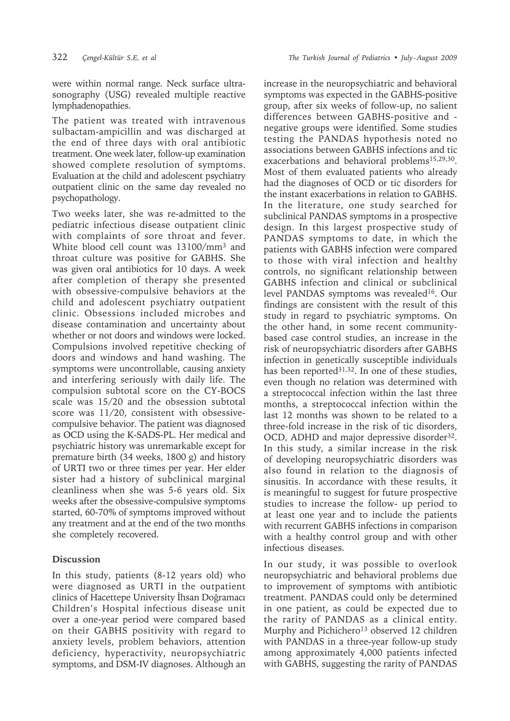were within normal range. Neck surface ultrasonography (USG) revealed multiple reactive lymphadenopathies.

The patient was treated with intravenous sulbactam-ampicillin and was discharged at the end of three days with oral antibiotic treatment. One week later, follow-up examination showed complete resolution of symptoms. Evaluation at the child and adolescent psychiatry outpatient clinic on the same day revealed no psychopathology.

Two weeks later, she was re-admitted to the pediatric infectious disease outpatient clinic with complaints of sore throat and fever. White blood cell count was 13100/mm<sup>3</sup> and throat culture was positive for GABHS. She was given oral antibiotics for 10 days. A week after completion of therapy she presented with obsessive-compulsive behaviors at the child and adolescent psychiatry outpatient clinic. Obsessions included microbes and disease contamination and uncertainty about whether or not doors and windows were locked. Compulsions involved repetitive checking of doors and windows and hand washing. The symptoms were uncontrollable, causing anxiety and interfering seriously with daily life. The compulsion subtotal score on the CY-BOCS scale was 15/20 and the obsession subtotal score was 11/20, consistent with obsessivecompulsive behavior. The patient was diagnosed as OCD using the K-SADS-PL. Her medical and psychiatric history was unremarkable except for premature birth (34 weeks, 1800 g) and history of URTI two or three times per year. Her elder sister had a history of subclinical marginal cleanliness when she was 5-6 years old. Six weeks after the obsessive-compulsive symptoms started, 60-70% of symptoms improved without any treatment and at the end of the two months she completely recovered.

## **Discussion**

In this study, patients (8-12 years old) who were diagnosed as URTI in the outpatient clinics of Hacettepe University İhsan Doğramacı Children's Hospital infectious disease unit over a one-year period were compared based on their GABHS positivity with regard to anxiety levels, problem behaviors, attention deficiency, hyperactivity, neuropsychiatric symptoms, and DSM-IV diagnoses. Although an

increase in the neuropsychiatric and behavioral symptoms was expected in the GABHS-positive group, after six weeks of follow-up, no salient differences between GABHS-positive and negative groups were identified. Some studies testing the PANDAS hypothesis noted no associations between GABHS infections and tic exacerbations and behavioral problems<sup>15,29,30</sup>. Most of them evaluated patients who already had the diagnoses of OCD or tic disorders for the instant exacerbations in relation to GABHS. In the literature, one study searched for subclinical PANDAS symptoms in a prospective design. In this largest prospective study of PANDAS symptoms to date, in which the patients with GABHS infection were compared to those with viral infection and healthy controls, no significant relationship between GABHS infection and clinical or subclinical level PANDAS symptoms was revealed<sup>16</sup>. Our findings are consistent with the result of this study in regard to psychiatric symptoms. On the other hand, in some recent communitybased case control studies, an increase in the risk of neuropsychiatric disorders after GABHS infection in genetically susceptible individuals has been reported $31,32$ . In one of these studies, even though no relation was determined with a streptococcal infection within the last three months, a streptococcal infection within the last 12 months was shown to be related to a three-fold increase in the risk of tic disorders, OCD, ADHD and major depressive disorder<sup>32</sup>. In this study, a similar increase in the risk of developing neuropsychiatric disorders was also found in relation to the diagnosis of sinusitis. In accordance with these results, it is meaningful to suggest for future prospective studies to increase the follow- up period to at least one year and to include the patients with recurrent GABHS infections in comparison with a healthy control group and with other infectious diseases.

In our study, it was possible to overlook neuropsychiatric and behavioral problems due to improvement of symptoms with antibiotic treatment. PANDAS could only be determined in one patient, as could be expected due to the rarity of PANDAS as a clinical entity. Murphy and Pichichero<sup>13</sup> observed 12 children with PANDAS in a three-year follow-up study among approximately 4,000 patients infected with GABHS, suggesting the rarity of PANDAS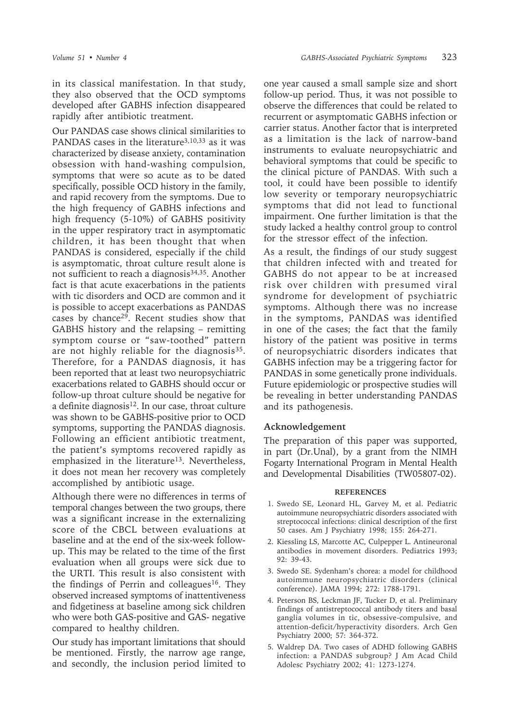in its classical manifestation. In that study, they also observed that the OCD symptoms developed after GABHS infection disappeared rapidly after antibiotic treatment.

Our PANDAS case shows clinical similarities to PANDAS cases in the literature<sup>3,10,33</sup> as it was characterized by disease anxiety, contamination obsession with hand-washing compulsion, symptoms that were so acute as to be dated specifically, possible OCD history in the family, and rapid recovery from the symptoms. Due to the high frequency of GABHS infections and high frequency (5-10%) of GABHS positivity in the upper respiratory tract in asymptomatic children, it has been thought that when PANDAS is considered, especially if the child is asymptomatic, throat culture result alone is not sufficient to reach a diagnosis<sup>34,35</sup>. Another fact is that acute exacerbations in the patients with tic disorders and OCD are common and it is possible to accept exacerbations as PANDAS cases by chance29. Recent studies show that GABHS history and the relapsing – remitting symptom course or "saw-toothed" pattern are not highly reliable for the diagnosis<sup>35</sup>. Therefore, for a PANDAS diagnosis, it has been reported that at least two neuropsychiatric exacerbations related to GABHS should occur or follow-up throat culture should be negative for a definite diagnosis<sup>12</sup>. In our case, throat culture was shown to be GABHS-positive prior to OCD symptoms, supporting the PANDAS diagnosis. Following an efficient antibiotic treatment, the patient's symptoms recovered rapidly as emphasized in the literature<sup>13</sup>. Nevertheless, it does not mean her recovery was completely accomplished by antibiotic usage.

Although there were no differences in terms of temporal changes between the two groups, there was a significant increase in the externalizing score of the CBCL between evaluations at baseline and at the end of the six-week followup. This may be related to the time of the first evaluation when all groups were sick due to the URTI. This result is also consistent with the findings of Perrin and colleagues<sup>16</sup>. They observed increased symptoms of inattentiveness and fidgetiness at baseline among sick children who were both GAS-positive and GAS- negative compared to healthy children.

Our study has important limitations that should be mentioned. Firstly, the narrow age range, and secondly, the inclusion period limited to one year caused a small sample size and short follow-up period. Thus, it was not possible to observe the differences that could be related to recurrent or asymptomatic GABHS infection or carrier status. Another factor that is interpreted as a limitation is the lack of narrow-band instruments to evaluate neuropsychiatric and behavioral symptoms that could be specific to the clinical picture of PANDAS. With such a tool, it could have been possible to identify low severity or temporary neuropsychiatric symptoms that did not lead to functional impairment. One further limitation is that the study lacked a healthy control group to control for the stressor effect of the infection.

As a result, the findings of our study suggest that children infected with and treated for GABHS do not appear to be at increased risk over children with presumed viral syndrome for development of psychiatric symptoms. Although there was no increase in the symptoms, PANDAS was identified in one of the cases; the fact that the family history of the patient was positive in terms of neuropsychiatric disorders indicates that GABHS infection may be a triggering factor for PANDAS in some genetically prone individuals. Future epidemiologic or prospective studies will be revealing in better understanding PANDAS and its pathogenesis.

#### **Acknowledgement**

The preparation of this paper was supported, in part (Dr.Unal), by a grant from the NIMH Fogarty International Program in Mental Health and Developmental Disabilities (TW05807-02).

#### **REFERENCES**

- 1. Swedo SE, Leonard HL, Garvey M, et al. Pediatric autoimmune neuropsychiatric disorders associated with streptococcal infections: clinical description of the first 50 cases. Am J Psychiatry 1998; 155: 264-271.
- 2. Kiessling LS, Marcotte AC, Culpepper L. Antineuronal antibodies in movement disorders. Pediatrics 1993; 92: 39-43.
- 3. Swedo SE. Sydenham's chorea: a model for childhood autoimmune neuropsychiatric disorders (clinical conference). JAMA 1994; 272: 1788-1791.
- 4. Peterson BS, Leckman JF, Tucker D, et al. Preliminary findings of antistreptococcal antibody titers and basal ganglia volumes in tic, obsessive-compulsive, and attention-deficit/hyperactivity disorders. Arch Gen Psychiatry 2000; 57: 364-372.
- 5. Waldrep DA. Two cases of ADHD following GABHS infection: a PANDAS subgroup? J Am Acad Child Adolesc Psychiatry 2002; 41: 1273-1274.